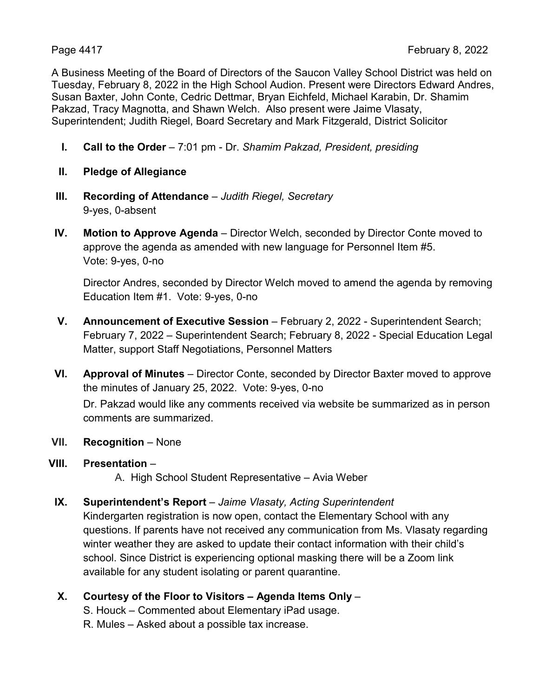A Business Meeting of the Board of Directors of the Saucon Valley School District was held on Tuesday, February 8, 2022 in the High School Audion. Present were Directors Edward Andres, Susan Baxter, John Conte, Cedric Dettmar, Bryan Eichfeld, Michael Karabin, Dr. Shamim Pakzad, Tracy Magnotta, and Shawn Welch. Also present were Jaime Vlasaty, Superintendent; Judith Riegel, Board Secretary and Mark Fitzgerald, District Solicitor

- **I. Call to the Order** 7:01 pm Dr. *Shamim Pakzad, President, presiding*
- **II. Pledge of Allegiance**
- **III. Recording of Attendance** *Judith Riegel, Secretary* 9-yes, 0-absent
- **IV. Motion to Approve Agenda** Director Welch, seconded by Director Conte moved to approve the agenda as amended with new language for Personnel Item #5. Vote: 9-yes, 0-no

Director Andres, seconded by Director Welch moved to amend the agenda by removing Education Item #1. Vote: 9-yes, 0-no

- **V. Announcement of Executive Session** February 2, 2022 Superintendent Search; February 7, 2022 – Superintendent Search; February 8, 2022 - Special Education Legal Matter, support Staff Negotiations, Personnel Matters
- **VI. Approval of Minutes** Director Conte, seconded by Director Baxter moved to approve the minutes of January 25, 2022. Vote: 9-yes, 0-no

Dr. Pakzad would like any comments received via website be summarized as in person comments are summarized.

- **VII. Recognition** None
- **VIII. Presentation** –

A. High School Student Representative – Avia Weber

#### **IX. Superintendent's Report** – *Jaime Vlasaty, Acting Superintendent*

Kindergarten registration is now open, contact the Elementary School with any questions. If parents have not received any communication from Ms. Vlasaty regarding winter weather they are asked to update their contact information with their child's school. Since District is experiencing optional masking there will be a Zoom link available for any student isolating or parent quarantine.

#### **X. Courtesy of the Floor to Visitors – Agenda Items Only** –

S. Houck – Commented about Elementary iPad usage.

R. Mules – Asked about a possible tax increase.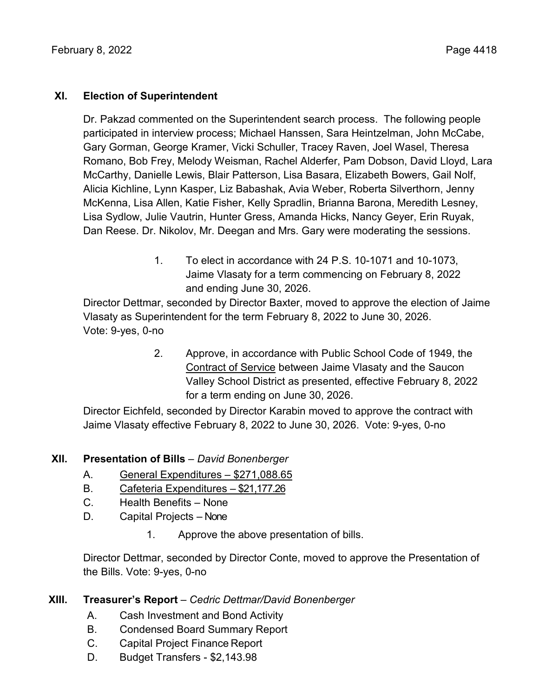#### **XI. Election of Superintendent**

Dr. Pakzad commented on the Superintendent search process. The following people participated in interview process; Michael Hanssen, Sara Heintzelman, John McCabe, Gary Gorman, George Kramer, Vicki Schuller, Tracey Raven, Joel Wasel, Theresa Romano, Bob Frey, Melody Weisman, Rachel Alderfer, Pam Dobson, David Lloyd, Lara McCarthy, Danielle Lewis, Blair Patterson, Lisa Basara, Elizabeth Bowers, Gail Nolf, Alicia Kichline, Lynn Kasper, Liz Babashak, Avia Weber, Roberta Silverthorn, Jenny McKenna, Lisa Allen, Katie Fisher, Kelly Spradlin, Brianna Barona, Meredith Lesney, Lisa Sydlow, Julie Vautrin, Hunter Gress, Amanda Hicks, Nancy Geyer, Erin Ruyak, Dan Reese. Dr. Nikolov, Mr. Deegan and Mrs. Gary were moderating the sessions.

> 1. To elect in accordance with 24 P.S. 10-1071 and 10-1073, Jaime Vlasaty for a term commencing on February 8, 2022 and ending June 30, 2026.

Director Dettmar, seconded by Director Baxter, moved to approve the election of Jaime Vlasaty as Superintendent for the term February 8, 2022 to June 30, 2026. Vote: 9-yes, 0-no

> 2. Approve, in accordance with Public School Code of 1949, the Contract of Service between Jaime Vlasaty and the Saucon Valley School District as presented, effective February 8, 2022 for a term ending on June 30, 2026.

Director Eichfeld, seconded by Director Karabin moved to approve the contract with Jaime Vlasaty effective February 8, 2022 to June 30, 2026. Vote: 9-yes, 0-no

# **XII. Presentation of Bills** – *David Bonenberger*

- A. General Expenditures \$271,088.65
- B. Cafeteria Expenditures \$21,177.26
- C. Health Benefits None
- D. Capital Projects None
	- 1. Approve the above presentation of bills.

Director Dettmar, seconded by Director Conte, moved to approve the Presentation of the Bills. Vote: 9-yes, 0-no

# **XIII. Treasurer's Report** – *Cedric Dettmar/David Bonenberger*

- A. Cash Investment and Bond Activity
- B. Condensed Board Summary Report
- C. Capital Project Finance Report
- D. Budget Transfers \$2,143.98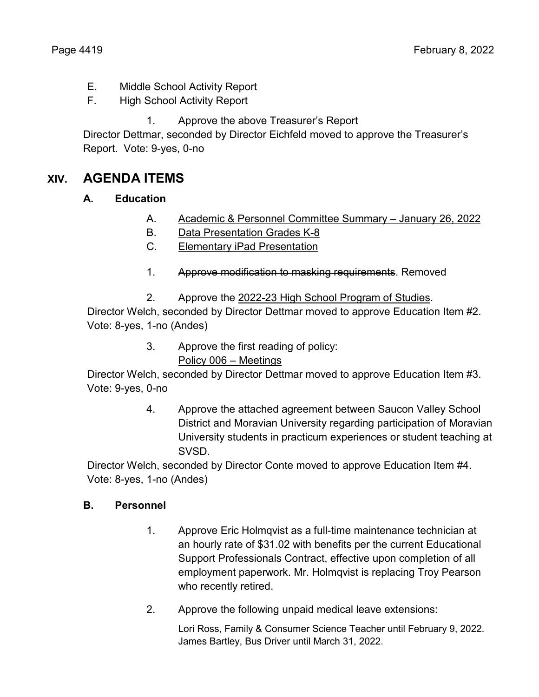- E. Middle School Activity Report
- F. High School Activity Report
	- 1. Approve the above Treasurer's Report

Director Dettmar, seconded by Director Eichfeld moved to approve the Treasurer's Report. Vote: 9-yes, 0-no

# **XIV. AGENDA ITEMS**

# **A. Education**

- A. Academic & Personnel Committee Summary January 26, 2022
- B. Data Presentation Grades K-8
- C. Elementary iPad Presentation
- 1. Approve modification to masking requirements. Removed
- 2. Approve the 2022-23 High School Program of Studies.

Director Welch, seconded by Director Dettmar moved to approve Education Item #2. Vote: 8-yes, 1-no (Andes)

> 3. Approve the first reading of policy: Policy 006 – Meetings

Director Welch, seconded by Director Dettmar moved to approve Education Item #3. Vote: 9-yes, 0-no

> 4. Approve the attached agreement between Saucon Valley School District and Moravian University regarding participation of Moravian University students in practicum experiences or student teaching at **SVSD**

Director Welch, seconded by Director Conte moved to approve Education Item #4. Vote: 8-yes, 1-no (Andes)

# **B. Personnel**

- 1. Approve Eric Holmqvist as a full-time maintenance technician at an hourly rate of \$31.02 with benefits per the current Educational Support Professionals Contract, effective upon completion of all employment paperwork. Mr. Holmqvist is replacing Troy Pearson who recently retired.
- 2. Approve the following unpaid medical leave extensions:

Lori Ross, Family & Consumer Science Teacher until February 9, 2022. James Bartley, Bus Driver until March 31, 2022.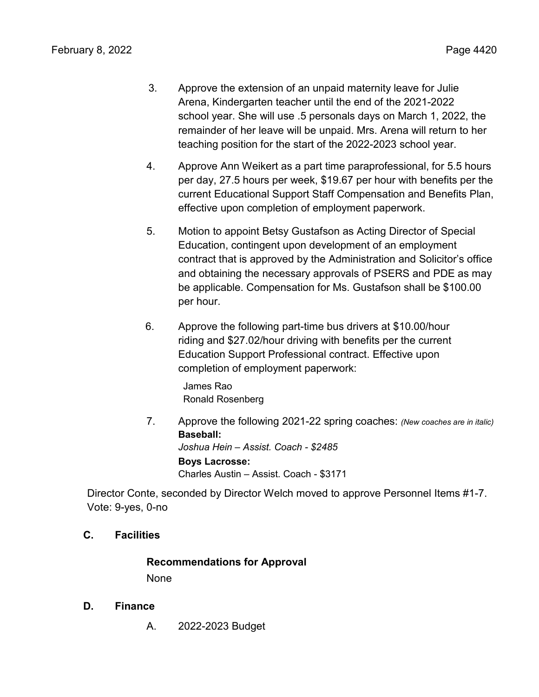- 3. Approve the extension of an unpaid maternity leave for Julie Arena, Kindergarten teacher until the end of the 2021-2022 school year. She will use .5 personals days on March 1, 2022, the remainder of her leave will be unpaid. Mrs. Arena will return to her teaching position for the start of the 2022-2023 school year.
- 4. Approve Ann Weikert as a part time paraprofessional, for 5.5 hours per day, 27.5 hours per week, \$19.67 per hour with benefits per the current Educational Support Staff Compensation and Benefits Plan, effective upon completion of employment paperwork.
- 5. Motion to appoint Betsy Gustafson as Acting Director of Special Education, contingent upon development of an employment contract that is approved by the Administration and Solicitor's office and obtaining the necessary approvals of PSERS and PDE as may be applicable. Compensation for Ms. Gustafson shall be \$100.00 per hour.
- 6. Approve the following part-time bus drivers at \$10.00/hour riding and \$27.02/hour driving with benefits per the current Education Support Professional contract. Effective upon completion of employment paperwork:

James Rao Ronald Rosenberg

7. Approve the following 2021-22 spring coaches: *(New coaches are in italic)* **Baseball:** *Joshua Hein – Assist. Coach - \$2485* **Boys Lacrosse:** Charles Austin – Assist. Coach - \$3171

Director Conte, seconded by Director Welch moved to approve Personnel Items #1-7. Vote: 9-yes, 0-no

# **C. Facilities**

# **Recommendations for Approval**

None

- **D. Finance**
	- A. 2022-2023 Budget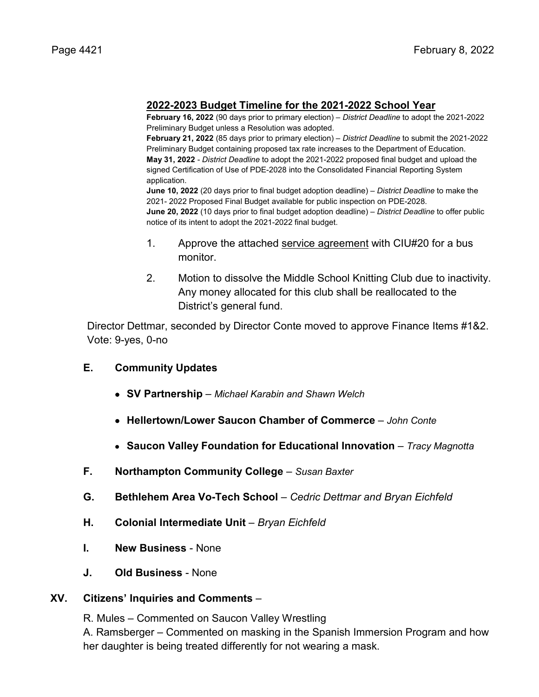#### **2022-2023 Budget Timeline for the 2021-2022 School Year**

**February 16, 2022** (90 days prior to primary election) – *District Deadline* to adopt the 2021-2022 Preliminary Budget unless a Resolution was adopted.

**February 21, 2022** (85 days prior to primary election) – *District Deadline* to submit the 2021-2022 Preliminary Budget containing proposed tax rate increases to the Department of Education. **May 31, 2022** - *District Deadline* to adopt the 2021-2022 proposed final budget and upload the signed Certification of Use of PDE-2028 into the Consolidated Financial Reporting System application.

**June 10, 2022** (20 days prior to final budget adoption deadline) – *District Deadline* to make the 2021- 2022 Proposed Final Budget available for public inspection on PDE-2028. **June 20, 2022** (10 days prior to final budget adoption deadline) – *District Deadline* to offer public notice of its intent to adopt the 2021-2022 final budget.

- 1. Approve the attached service agreement with CIU#20 for a bus monitor.
- 2. Motion to dissolve the Middle School Knitting Club due to inactivity. Any money allocated for this club shall be reallocated to the District's general fund.

Director Dettmar, seconded by Director Conte moved to approve Finance Items #1&2. Vote: 9-yes, 0-no

#### **E. Community Updates**

- **SV Partnership**  *Michael Karabin and Shawn Welch*
- **Hellertown/Lower Saucon Chamber of Commerce** *– John Conte*
- **Saucon Valley Foundation for Educational Innovation**  *Tracy Magnotta*
- **F. Northampton Community College** *Susan Baxter*
- **G. Bethlehem Area Vo-Tech School** *– Cedric Dettmar and Bryan Eichfeld*
- **H. Colonial Intermediate Unit** *– Bryan Eichfeld*
- **I. New Business**  None
- **J. Old Business** None

#### **XV. Citizens' Inquiries and Comments** –

R. Mules – Commented on Saucon Valley Wrestling

A. Ramsberger – Commented on masking in the Spanish Immersion Program and how her daughter is being treated differently for not wearing a mask.